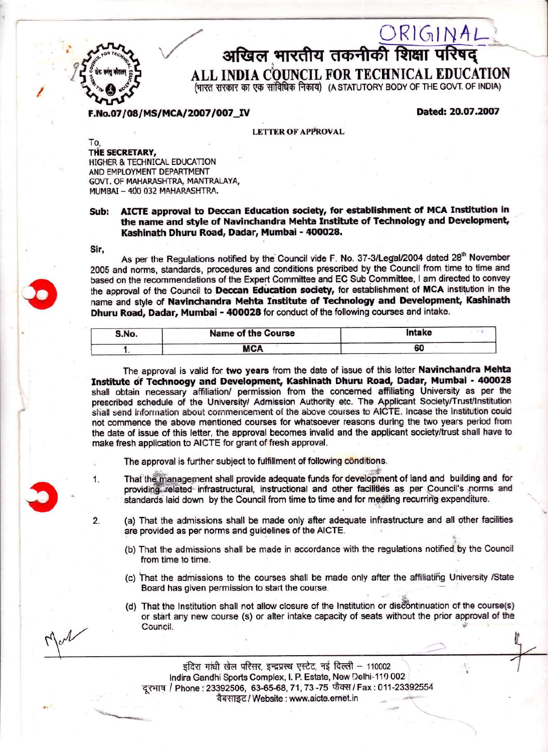

## $\frac{\bigcirc R\, \vert\, \zeta_{1}\, \vert\, \gamma\, A\, \mathsf{L}}{\mathsf{area}}$ अखिल भारतीय तकनीकी शिक्षा परिषद्

ALL INDIA COUNCIL FOR TECHNICAL EDUCATION

(भारत सरकार का एक सांविधिक निकाय) (A STATUTORY BODY OF THE GOVT. OF INDIA)

F.No.07/08/MS/MCA/2007/007 IV Dated: 20.07.2007

**LETTER OF APPROVAL** 

To, THE SECRETARY, HIGHER & TECHNICAL EDUCATION AND EMPLOYMENT DEPARTMENT GOVT. OF MAHARASHTRA, MANTRALAYA, MUMBAI – 400 032 MAHARASHTRA

## Sub: AICTE approval to Deccan Education society, for establishment of MCA Institution in the name and style of Navinchandra Mehta Institute of Technology and Development, Kashinath Dhuru Road, Dadar, Mumbai - 400028.

Sir,

As per the Regulations notified by the Council vide F. No. 37-3/Legal/2004 dated 28<sup>th</sup> November 2005 and norms, standards, procedures and conditions prescribed by the Council from time to time and based on the recommendations of the Expert Committee and EC Sub Committee, I am directed to convey the approval of the Council to Deccan Education society, for establishment of MCA institution in the name and style of Navinchandra Mehta Institute of Technology and Development, Kashinath Dhuru Road, Dadar, Mumbai - 400028 for conduct of the following courses and intake.

| S.No. | <b>Name of the Course</b> | Intake |
|-------|---------------------------|--------|
|       | <b>MCA</b>                | οι     |

The approval is valid for two years from the date of issue of this letter Navinchandra Mehta Institute of Technoogy and Development, Kashinath Dhuru Road, Dadar, Mumbai - 400028 shall obtain necessary affiliation/ permission from the concerned affiliating University as per the prescribed schedule of the University/ Admission Authority etc. The Applicant Society/Trust/Institution shall send information about commencement of the above courses to AICTE. Incase the Institution could not commence the above mentioned courses for whatsoever reasons during the two years period from the date of issue of this letter, the approval becomes invalid and the applicant society/trust shall have to make fresh application to AICTE for grant of fresh approval.

- The approval is further subject to fulfillment of following conditions.
- 1. That the management shall provide adequate funds for development of land and building and for providing related infrastructural, instructional and other facilities as per Council's norms and standards laid down by the Council from time to time and for meeting recurring expenditure.
- 2. (a) That the admissions shall be made only after adequate infrastructure and all other facilities are provided as per norms and guidelines of the AICTE.
	- (b) That the admissions shall be made in accordance with the regulations notified by the Council from time to time.
	- (c) That the admissions to the courses shall be made only after the affiliating University /State Board has given permission to start the course.

.{;

(d) That the lnstitution shall not allow closure of the lnstitution or dis&ntinuation of the course(s) or stirt any new course (s) or alter intake capacity of seats without the prior approval of the ^^..-^it vuurrgr. ;'

 $\omega_{\rm ion}$  .

इंदिरा गांधी खेल परिसर, इन्द्रप्रस्थ एस्टेट, नई दिल्ली - 110002 Indira Gandhi Sports Complex, I. P. Estate, New Delhi-110 002 दूरभाष / Phone: 23392506, 63-65-68, 71, 73 -75 फैक्स / Fax: 011-23392554 वैबसाइट/ Website: www.aicte.ernet.in i++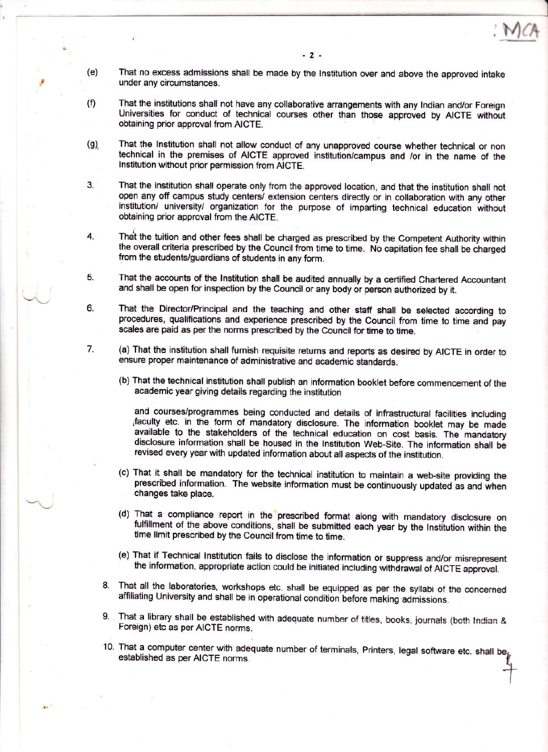I

- (e) That no excess admissions shall be made by the lnstitution over and above the approved intake under any circumstances.
- (f) That the institutions shall not have any collaborative arrangements with any lndian and/or Foreign Universities for conduct of technical courses other than those approved by AICTE without obtaining prior approval from AICTE.
- (g) That the lnstitution shall not allow conduct of any unapproved course whether technical or non technical in the premises of AICTE approved institution/campus and /or in the name of the lnstitution without prior permission from AICTE.
- 3. That the institution shall operate only from the approved location, and that the institution shall not open any off campus study centers/ extension centers directly or in collaboration with any other institution/ university/ organization for the purpose of imparting technical education without obtaining prior approval from the AICTE.
- That the tuition and other fees shall be charged as prescribed by the Competent Authority within the overall criteria prescribed by the Council from time to time. No capitation fee shall be charged from the students/guardians of students in any form. 4
- That the accounts of the lnstitution shall be audited annually by a certified Chartered Accountant and shall be open for inspection by the Council or any body or person authorized by it.  $5<sub>1</sub>$
- That the Director/Principal and the teaching and other staff shall be selected according to procedures, qualifications and experience prescribed by the Council from time to time and pay scales are paid as per the norms prescribed by the council for time to time. 6.
- (a) That the institution shall furnish requisite returns and reports as desired by AICTE in order to ensure proper maintenance of administrative and academic standards. 7.
	- (b) That the technical institution shall publish an information booklet before commencement of the academic year giving details regarding the institution

and courses/programmes being conducted and details of infrastructural facilities including faculty etc. in the form of mandatory disclosure. The information booklet may be made available to the stakeholders of the technical education on cost basis. The mandatory disclosure information shall be housed in the lnstitution Web-Site. The information shall be revised every year with updated information about all aspects of the institution.

- (c) That it shall be mandatory for the technical institution to maintain a web-site providing the prescribed information. The website information must be continuously updated as and when changes take place.
- (d) That a compliance report in the prescribed format along with mandatory disclosure on fulfillment of the above conditions, shall be submitted each year by the lnstitution within the time limit prescribed by the Council from time to time.
- (e) That if Technical lnstitution fails to disclose the information or suppress and/or misrepresent the information, appropriate action could be initiated including withdrawal of AICTE approval.
- 8. That all the laboratories, workshops etc. shall be equipped as per the syllabi of the concerned affiliating University and shall be in operational condition before making admissions.
- 9. That a library shall be established with adequate number of titles, books, journals (both Indian & Foreign) etc as per AICTE norms.
- 10. That a computer center with adequate number of terminals, Printers, legal software etc. shall be,- established as per AICTE norms.  $\ddot{}$